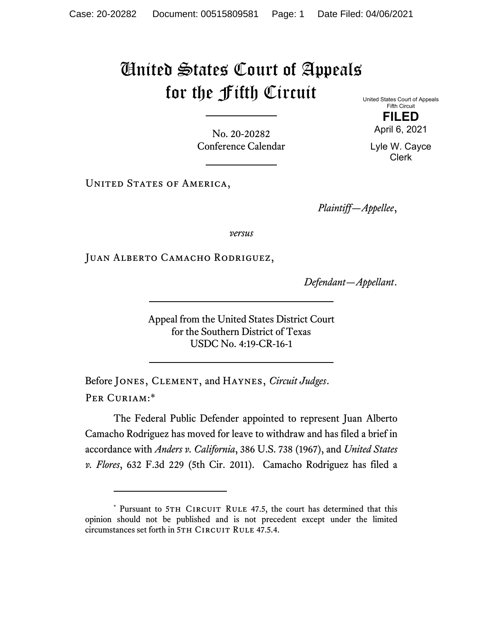## United States Court of Appeals for the Fifth Circuit

United States Court of Appeals Fifth Circuit **FILED** 

April 6, 2021

Lyle W. Cayce Clerk

No. 20-20282 Conference Calendar

UNITED STATES OF AMERICA,

*Plaintiff—Appellee*,

*versus*

Juan Alberto Camacho Rodriguez,

*Defendant—Appellant*.

Appeal from the United States District Court for the Southern District of Texas USDC No. 4:19-CR-16-1

Before Jones, Clement, and Haynes, *Circuit Judges*. Per Curiam:\*

The Federal Public Defender appointed to represent Juan Alberto Camacho Rodriguez has moved for leave to withdraw and has filed a brief in accordance with *Anders v. California*, 386 U.S. 738 (1967), and *United States v. Flores*, 632 F.3d 229 (5th Cir. 2011). Camacho Rodriguez has filed a

<sup>\*</sup> Pursuant to 5TH CIRCUIT RULE 47.5, the court has determined that this opinion should not be published and is not precedent except under the limited circumstances set forth in 5TH CIRCUIT RULE 47.5.4.